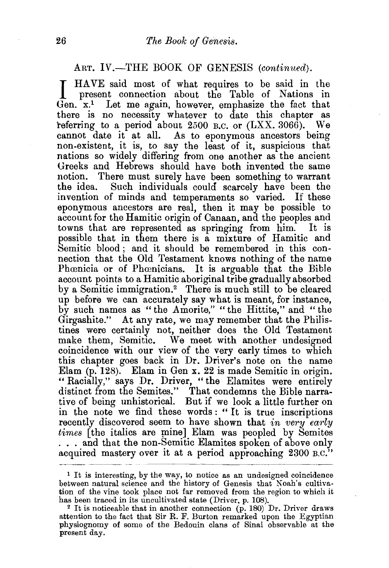## ART. IV.—THE BOOK OF GENESIS *(continued)*.

I HAVE said most of what requires to be said in the present connection about the Table of Nations in Gen. x.1 Let me again, however, emphasize the fact that there is no necessity whatever to date this chapter as referring to a period about  $2500$  B.C. or  $(LXX, 3066)$ . We cannot date it at all. As to eponymous ancestors being non-existent, it is, to say the least of it, suspicious that nations so widely differing from one another as the ancient Greeks and Hebrews should have both invented the same notion. There must surely have been something to warrant the idea. Such individuals could scarcely have been the Such individuals could scarcely have been the invention of minds and temperaments so varied. If these eponymous ancestors are real, then it may be possible to account for the Hamitic origin of Canaan, and the peoples and towns that are represented as springing from him. It is possible that in them there is a mixture of Hamitic and Semitic blood; and it should be remembered in this connection that the Old Testament knows nothing of the name Phœnicia or of Phœnicians. It is arguable that the Bible account points to a Hamitic aboriginal tribe gradually absorbed by a Semitic immigration.2 There is much still to be cleared up before we can accurately say what is meant, for instance, by such names as "the Amorita," "the Hittite," and "the Girgashite." At any rate, we may remember that the Philistines were certainly not, neither does the Old Testament make them, Semitic. We meet with another undesigned coincidence with our view of the very early times to which this chapter goes back in Dr. Driver's note on the name Elam (p. 128). Elam in Gen x. 22 is made Semitic in origin. "Racially," says Dr. Driver, "the Elamites were entirely distinct from the Semites." That condemns the Bible narrative of being unhistorical. But if we look a little further on in the note we find these words : " It is true inscriptions recently discovered seem to have shown that *in very early times* [the italics are mine] Elam was peopled by Semites ... and that the non-Semitic Elamites spoken of above only acquired mastery over it at a period approaching 2300 B.C."

<sup>1</sup> It is interesting, by the way, to notice as an undesigned coincidence between natural science and the history of Genesis that Noah's cultiva· tion of the vine took place not far removed from the region to which it has been traced in its uncultivated state (Driver, p. 108).

 $2$  It is noticeable that in another connection (p. 180) Dr. Driver draws attention to the fact that Sir R. F. Burton remarked upon the Egyptian physiognomy of some of the Bedouin clans of Sinai observable at the present day.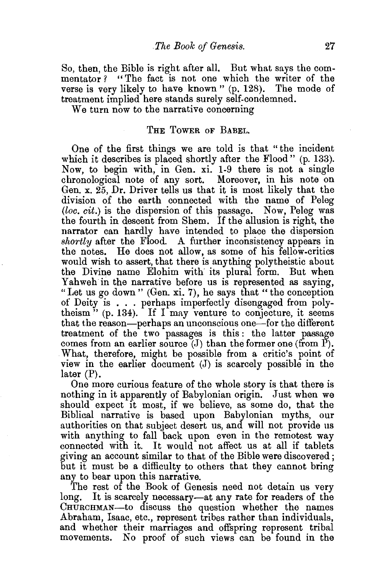So, then, the Bible is right after all. But what says the commentator ? "The fact is not one which the writer of the verse is very likely to have known " (p. 128). The mode of treatment implied here stands surely self-condemned.

We turn now to the narrative concerning

## THE TowER oF BABEL.

One of the first things we are told is that "the incident which it describes is placed shortly after the Flood" (p. 133). Now, to begin with, in Gen. xi. 1-9 there is not a single chronological note of any sort. Moreover, in his note on Gen. x. 25, Dr. Driver tells us that it is most likely that the division of the earth connected with the name of Peleg (loc. cit.) is the dispersion of this passage. Now, Peleg was the fourth in descent from Shem. If the allusion is right, the narrator can hardly have intended to place the dispersion *shortly* after the Flood. A further inconsistency appears in the notes. He does not allow, as some of his fellow-critics would wish to assert, that there is anything polytheistic about the Divine name Elohim with its plural form. But when Yahweh in the narrative before us is represented as saying, "Let us go down" (Gen. xi. 7), he says that "the conception of Deity is ... perhaps imperfectly disengaged from polytheism" (p. 134). If  $\Gamma$  may venture to conjecture, it seems that the reason-perhaps an unconscious one-for the different treatment of the two passages is this: the latter passage comes from an earlier source  $(J)$  than the former one (from P). What, therefore, might be possible from a critic's point of view in the earlier document (J) is scarcely possible in the later (P).

One more curious feature of the whole story is that there is nothing in it apparently of Babylonian origin. Just when we should expect it most, if we believe, as some do, that the Biblical narrative is based upon Babylonian myths, our authorities on that subject desert us, and will not provide us with anything to fall 'back upon even in the remotest way connected with it. It would not affect us at all if tablets giving an account similar to that of the Bible were discovered ; but it must be a difficulty to others that they cannot bring any to bear upon this narrative.

The rest of the Book of Genesis need not detain us very long. It is scarcely necessary—at any rate for readers of the CHURCHMAN-to discuss the question whether the names Abraham, Isaac, etc., represent tribes rather than individuals, and whether their marriages and offspring represent tribal movements. No proof of such views can be found in the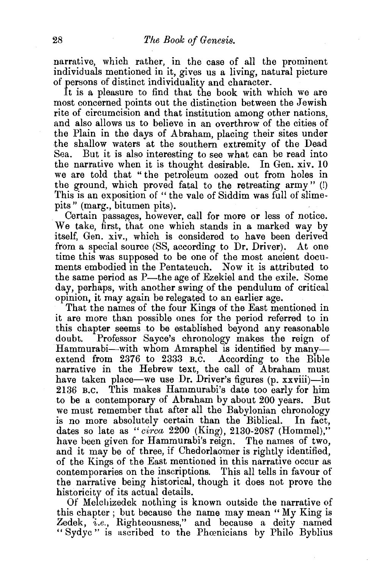narrative, which rather, in the case of all the prominent individuals mentioned in it, gives us a living, natural picture of persons of distinct individuality and character.

It is a pleasure to find that the book with which we are most concerned points out the distinction between the Jewish rite of circumcision and that institution among other nations, and also allows us to believe in an overthrow of the cities of the Plain in the days of Abraham, placing their sites under the shallow waters at the southern extremity of the Dead<br>Sea. But it is also interesting to see what can be read into But it is also interesting to see what can be read into the narrative when it is thought desirable. In Gen. xiv. 10 we are told that " the petroleum oozed out from holes in the ground, which proved fatal to the retreating army" (!) This is an exposition of " the vale of Siddim was full of slimepits" (marg., bitumen pits). .

Certain passages, however, call for more or less of notice. We take, first, that one which stands in a marked way by itself, Gen. xiv., which is considered to have been derived from a special source (SS, according to Dr. Driver). At one time this was supposed to be one of the most ancient documents embodied in the Pentateuch. Now it is attributed to the same period as P—the age of Ezekiel and the exile. Some day, perhaps, with another swing of the pendulum of critical opinion, it may again be relegated to an earlier age.

That the names of the four Kings of the East mentioned in it are more than possible ones for the period referred to in this chapter seems to be established beyond any reasonable doubt. Professor Sayee's chronology makes the reign of Hammurabi-with whom Amraphel is identified by manyextend from 2376 to 2333 B.C. According to the Bible narrative in the Hebrew text, the call of Abraham must have taken place—we use Dr. Driver's figures (p. xxviii)—in 2136 B.C. This makes Hammurabi's date too early for him This makes Hammurabi's date too early for him to be a contemporary of Abraham by about 200 years. But we must remember that after all the Babylonian chronology is no more absolutely certain than the Biblical. In fact, dates so late as *"circa* 2200 (King), 2130-2087 (Hommel)," have been given for Hammurabi's reign. The names of two, and it may be of three, if Chedorlaomer is rightly identified, of the Kings of the East mentioned in this narrative occur as contemporaries on the inscriptions. This all tells in favour of the narrative being historical, though it does not prove the historicity of its actual details.

Of Melchizedek nothing is known outside the narrative of this chapter ; but because the name may mean "My King is Zedek, *i.e.,* Righteousness," and because a deity named " Sydyc" is ascribed to the Phœnicians by Philo Byblius